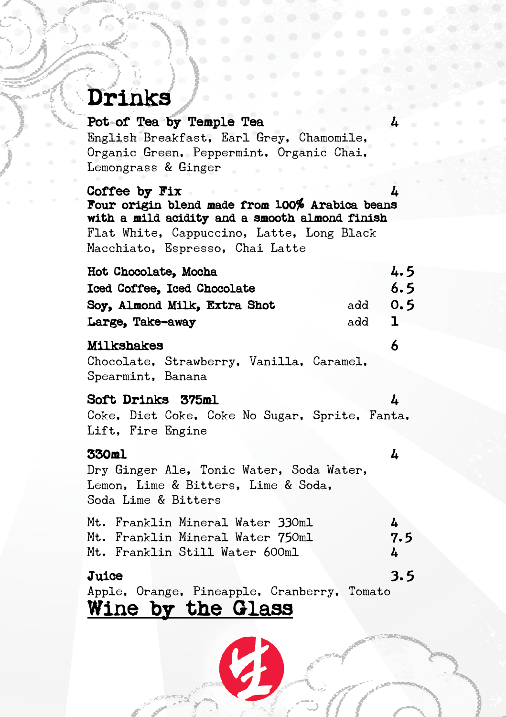# Drinks Pot of Tea by Temple Tea 44

English Breakfast, Earl Grey, Chamomile, Organic Green, Peppermint, Organic Chai, Lemongrass & Ginger

#### Coffee by Fix

Four origin blend made from 100% Arabica beans with a mild acidity and a smooth almond finish Flat White, Cappuccino, Latte, Long Black Macchiato, Espresso, Chai Latte

| Hot Chocolate, Mocha                | 4.5          |
|-------------------------------------|--------------|
| Iced Coffee, Iced Chocolate         | 6.5          |
| Soy, Almond Milk, Extra Shot<br>add | 0.5          |
| Large, Take-away<br>add             | $\mathbf{I}$ |

#### Milkshakes 6

Chocolate, Strawberry, Vanilla, Caramel, Spearmint, Banana

### Soft Drinks 375ml 4

Coke, Diet Coke, Coke No Sugar, Sprite, Fanta, Lift, Fire Engine

### 330ml 4

Dry Ginger Ale, Tonic Water, Soda Water, Lemon, Lime & Bitters, Lime & Soda, Soda Lime & Bitters

| Juice |                                  |  |   | 3.5 |
|-------|----------------------------------|--|---|-----|
|       | Mt. Franklin Still Water 600ml   |  | 4 |     |
|       | Mt. Franklin Mineral Water 750ml |  |   | 7.5 |
|       | Mt. Franklin Mineral Water 330ml |  | 4 |     |

Apple, Orange, Pineapple, Cranberry, Tomato<br>Wine by the Glass

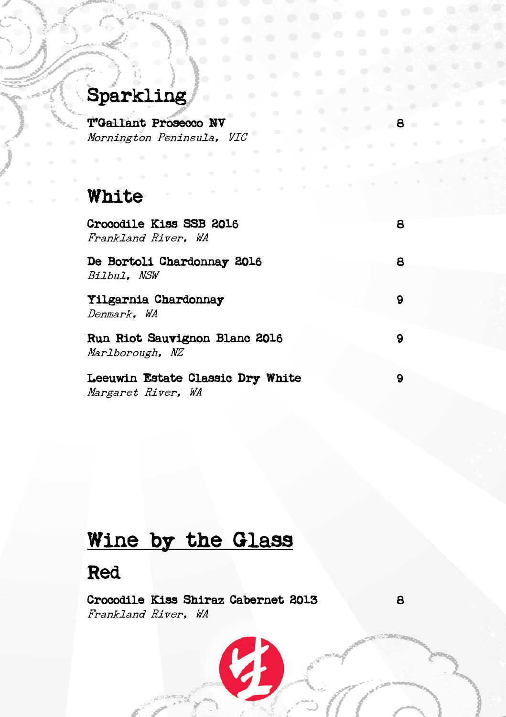# Sparkling

T'Gallant Prosecco NV Mornington Peninsula, VIC

# White

| Crocodile Kiss SSB 2016<br>Frankland River. WA         | 8 |
|--------------------------------------------------------|---|
| De Bortoli Chardonnay 2016<br>Bilbul. NSW              | 8 |
| Yilgarnia Chardonnay<br>Denmark. WA                    | 9 |
| Run Riot Sauvignon Blanc 2016<br>Marlborough, NZ       | 9 |
| Leeuwin Estate Classic Dry White<br>Margaret River, WA |   |

# Wine by the Glass

# Red

Crocodile Kiss Shiraz Cabernet 2013 8 Frankland River, WA

V.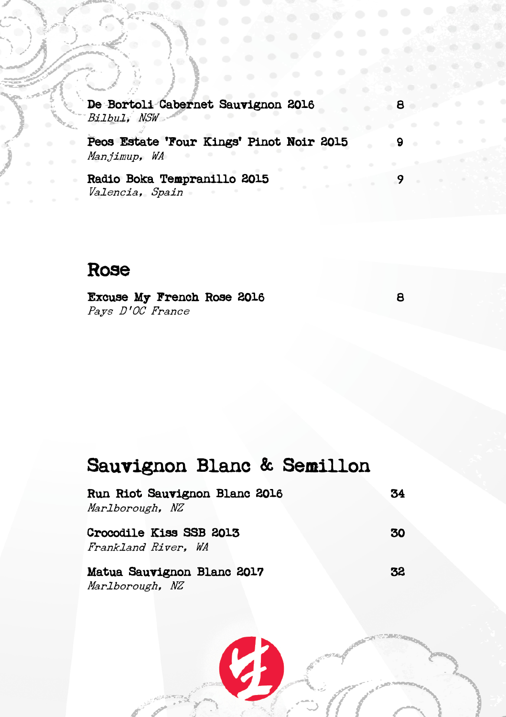I De Bortoli Cabernet Sauvignon 2016 Bilbul, NSW

Peos Estate 'Four Kings' Pinot Noir 2015 9 Manjimup, WA

Radio Boka Tempranillo 2015 9 Valencia, Spain

# Rose

Excuse My French Rose 2016 8 Pays D'OC France

# Sauvignon Blanc & Semillon

| Run Riot Sauvignon Blanc 2016 | 34 |
|-------------------------------|----|
| Marlborough, NZ               |    |
| Crocodile Kiss SSB 2013       | 30 |
| Frankland River, WA           |    |
| Matua Sauvignon Blanc 2017    | 32 |
| Marlborough, NZ               |    |

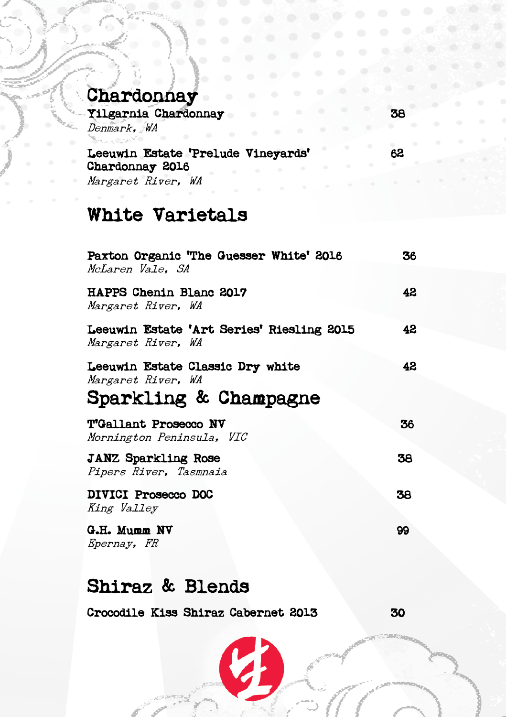| Спагаоппау                                                                       |    |
|----------------------------------------------------------------------------------|----|
| Yilgarnia Chardonnay<br>۰<br>$\circ$<br>Denmark, WA<br>۰                         | 38 |
| Leeuwin Estate 'Prelude Vineyards'<br>Chardonnay 2016<br>۰<br>Margaret River, WA | 62 |
| <b>White Varietals</b>                                                           |    |
| Paxton Organic 'The Guesser White' 2016<br>McLaren Vale. SA                      | 36 |
| HAPPS Chenin Blanc 2017<br>Margaret River, WA                                    | 42 |
| Leeuwin Estate 'Art Series' Riesling 2015<br>Margaret River, WA                  | 42 |
| Leeuwin Estate Classic Dry white                                                 | 42 |

Margaret River, WA Sparkling & Champagne

| T'Gallant Prosecco NV<br>Mornington Peninsula, VIC   | 36 |
|------------------------------------------------------|----|
| <b>JANZ Sparkling Rose</b><br>Pipers River, Tasmnaia | 38 |
| DIVICI Prosecco DOC<br>King Valley                   | 38 |
| G.H. Mumm NV<br>Epernay, FR                          | 99 |

# Shiraz & Blends

T

Crocodile Kiss Shiraz Cabernet 2013 30

# Chardonnay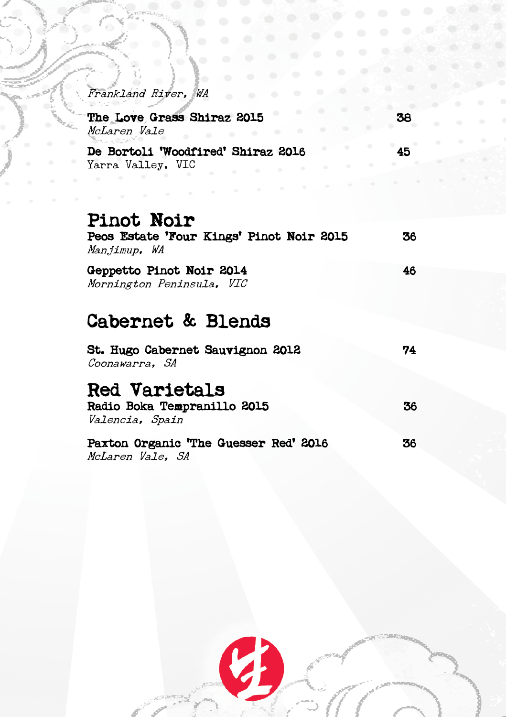| Frankland River, WA<br>$\bullet$<br>œ                               | s            |
|---------------------------------------------------------------------|--------------|
| ÷<br>۰<br>The Love Grass Shiraz 2015<br>McLaren Vale<br>٠<br>۰<br>٠ | 38           |
| De Bortoli 'Woodfired' Shiraz 2016<br>Yarra Valley, VIC             | 45<br>$\sim$ |
| <b>Pinot Noir</b>                                                   |              |
| Peos Estate 'Four Kings' Pinot Noir 2015<br>Manjimup, WA            | 36           |
| Geppetto Pinot Noir 2014<br>Mornington Peninsula, VIC               | 46           |
| <b>Cabernet &amp; Blends</b>                                        |              |
| <b>St. Hugo Cabernet Sauvignon 2012</b><br>Coonawarra. SA           | 74           |
| <b>Red Varietals</b>                                                |              |
| Radio Boka Tempranillo 2015<br>Valencia, Spain                      | 36           |
| Paxton Organic 'The Guesser Red' 2016<br>McLaren Vale. SA           | 36           |
|                                                                     |              |

**Contract Contract** 

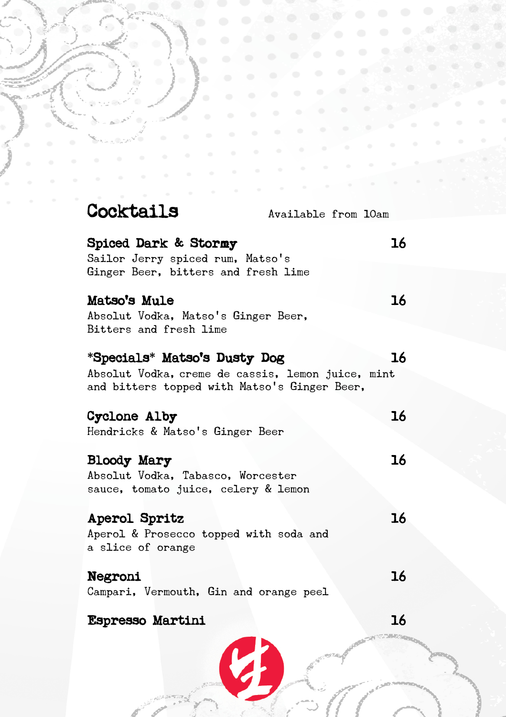|          | $\circ$<br>$\bullet$<br>$\ddot{\phantom{a}}$<br>$\bigcirc$                                                                        |  |    |  |
|----------|-----------------------------------------------------------------------------------------------------------------------------------|--|----|--|
|          | $\circ$<br>$\bigcirc$<br>$\circ$<br>$-60$<br>$\alpha$ $\alpha$                                                                    |  |    |  |
|          | $\sim$<br>$\Rightarrow$<br>$\begin{array}{c} \bullet \\ \bullet \end{array}$<br>$-65$<br>$\alpha$                                 |  |    |  |
| $\alpha$ | $-102$                                                                                                                            |  |    |  |
|          | $\sim$<br>$\sim$                                                                                                                  |  |    |  |
|          | $\sim$ 10 $^\circ$                                                                                                                |  |    |  |
|          | Cocktails<br>Available from 10am                                                                                                  |  |    |  |
|          | <b>Spiced Dark &amp; Stormy</b><br>Sailor Jerry spiced rum, Matso's                                                               |  | 16 |  |
|          | Ginger Beer, bitters and fresh lime<br>Matso's Mule                                                                               |  | 16 |  |
|          | Absolut Vodka, Matso's Ginger Beer,<br>Bitters and fresh lime                                                                     |  |    |  |
|          | *Specials* Matso's Dusty Dog<br>Absolut Vodka, creme de cassis, lemon juice, mint<br>and bitters topped with Matso's Ginger Beer, |  | 16 |  |
|          | Cyclone Alby<br>Hendricks & Matso's Ginger Beer                                                                                   |  | 16 |  |
|          | Bloody Mary<br>Absolut Vodka, Tabasco, Worcester                                                                                  |  | 16 |  |
|          | sauce, tomato juice, celery & lemon                                                                                               |  |    |  |
|          | <b>Aperol Spritz</b><br>Aperol & Prosecco topped with soda and<br>a slice of orange                                               |  | 16 |  |
|          |                                                                                                                                   |  |    |  |
|          | <b>Negroni</b><br>Campari, Vermouth, Gin and orange peel                                                                          |  | 16 |  |
|          | <b>Espresso Martini</b>                                                                                                           |  | 16 |  |

C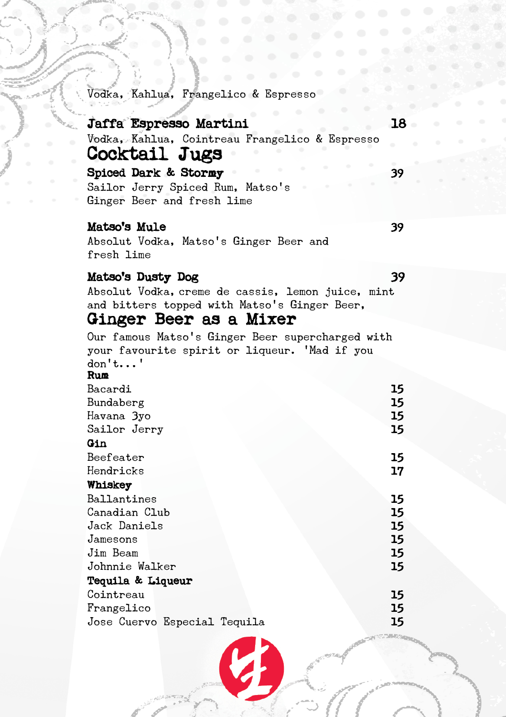Vodka, Kahlua, Frangelico & Espresso

## Jaffa Espresso Martini 18 Vodka, Kahlua, Cointreau Frangelico & Espresso Cocktail Jugs Spiced Dark & Stormy 39 Sailor Jerry Spiced Rum, Matso's Ginger Beer and fresh lime

#### Matso's Mule 39

Absolut Vodka, Matso's Ginger Beer and fresh lime

### Matso's Dusty Dog 39

Absolut Vodka, creme de cassis, lemon juice, mint and bitters topped with Matso's Ginger Beer,

# Ginger Beer as a Mixer

Our famous Matso's Ginger Beer supercharged with your favourite spirit or liqueur. 'Mad if you don't...'

#### Rum

| Bacardi                      | 15 |
|------------------------------|----|
| Bundaberg                    | 15 |
| Havana 3yo                   | 15 |
| Sailor Jerry                 | 15 |
| Gin                          |    |
| Beefeater                    | 15 |
| Hendricks                    | 17 |
| Whiskey                      |    |
| Ballantines                  | 15 |
| Canadian Club                | 15 |
| Jack Daniels                 | 15 |
| Jamesons                     | 15 |
| Jim Beam                     | 15 |
| Johnnie Walker               | 15 |
| Tequila & Liqueur            |    |
| Cointreau                    | 15 |
| Frangelico                   | 15 |
| Jose Cuervo Especial Tequila | 15 |